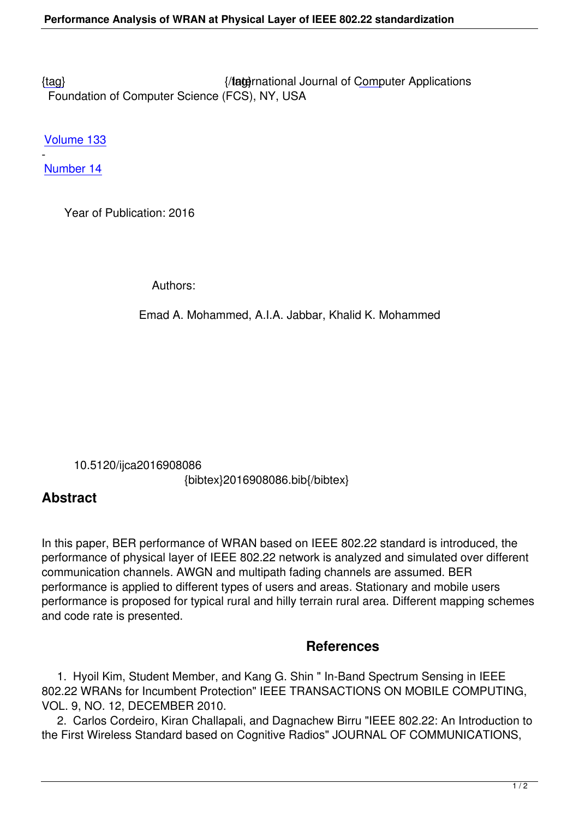{tag} International Journal of Computer Applications Foundation of Computer Science (FCS), NY, USA

[Volu](/research/volume133/number14/mohammed-2016-ijca-908086.pdf)me 133

- Number 14

 [Year of](/archives/volume133/number14) Publication: 2016

Authors:

Emad A. Mohammed, A.I.A. Jabbar, Khalid K. Mohammed

 10.5120/ijca2016908086 {bibtex}2016908086.bib{/bibtex}

## **Abstract**

In this paper, BER performance of WRAN based on IEEE 802.22 standard is introduced, the performance of physical layer of IEEE 802.22 network is analyzed and simulated over different communication channels. AWGN and multipath fading channels are assumed. BER performance is applied to different types of users and areas. Stationary and mobile users performance is proposed for typical rural and hilly terrain rural area. Different mapping schemes and code rate is presented.

## **References**

 1. Hyoil Kim, Student Member, and Kang G. Shin " In-Band Spectrum Sensing in IEEE 802.22 WRANs for Incumbent Protection" IEEE TRANSACTIONS ON MOBILE COMPUTING, VOL. 9, NO. 12, DECEMBER 2010.

 2. Carlos Cordeiro, Kiran Challapali, and Dagnachew Birru "IEEE 802.22: An Introduction to the First Wireless Standard based on Cognitive Radios" JOURNAL OF COMMUNICATIONS,